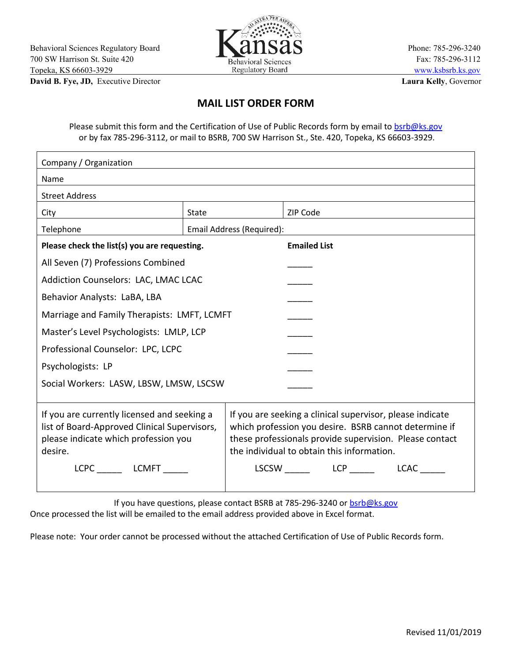

**David B. Fye, JD,** Executive Director **Laura Kelly**, Governor

## **MAIL LIST ORDER FORM**

Please submit this form and the Certification of Use of Public Records form by email to [bsrb@ks.gov](mailto:bsrb@ks.gov) or by fax 785-296-3112, or mail to BSRB, 700 SW Harrison St., Ste. 420, Topeka, KS 66603-3929.

| Company / Organization                                                                                                                         |                           |                                                                                                                                                                                                                             |  |
|------------------------------------------------------------------------------------------------------------------------------------------------|---------------------------|-----------------------------------------------------------------------------------------------------------------------------------------------------------------------------------------------------------------------------|--|
| Name                                                                                                                                           |                           |                                                                                                                                                                                                                             |  |
| <b>Street Address</b>                                                                                                                          |                           |                                                                                                                                                                                                                             |  |
| City                                                                                                                                           | <b>State</b>              | ZIP Code                                                                                                                                                                                                                    |  |
| Telephone                                                                                                                                      | Email Address (Required): |                                                                                                                                                                                                                             |  |
| Please check the list(s) you are requesting.                                                                                                   |                           | <b>Emailed List</b>                                                                                                                                                                                                         |  |
| All Seven (7) Professions Combined                                                                                                             |                           |                                                                                                                                                                                                                             |  |
| Addiction Counselors: LAC, LMAC LCAC                                                                                                           |                           |                                                                                                                                                                                                                             |  |
| Behavior Analysts: LaBA, LBA                                                                                                                   |                           |                                                                                                                                                                                                                             |  |
| Marriage and Family Therapists: LMFT, LCMFT                                                                                                    |                           |                                                                                                                                                                                                                             |  |
| Master's Level Psychologists: LMLP, LCP                                                                                                        |                           |                                                                                                                                                                                                                             |  |
| Professional Counselor: LPC, LCPC                                                                                                              |                           |                                                                                                                                                                                                                             |  |
| Psychologists: LP                                                                                                                              |                           |                                                                                                                                                                                                                             |  |
| Social Workers: LASW, LBSW, LMSW, LSCSW                                                                                                        |                           |                                                                                                                                                                                                                             |  |
|                                                                                                                                                |                           |                                                                                                                                                                                                                             |  |
| If you are currently licensed and seeking a<br>list of Board-Approved Clinical Supervisors,<br>please indicate which profession you<br>desire. |                           | If you are seeking a clinical supervisor, please indicate<br>which profession you desire. BSRB cannot determine if<br>these professionals provide supervision. Please contact<br>the individual to obtain this information. |  |
| LCPC LCMFT                                                                                                                                     |                           | LSCSW LCP LCAC                                                                                                                                                                                                              |  |

If you have questions, please contact BSRB at 785-296-3240 or [bsrb@ks.gov](mailto:bsrb@ks.gov)

Once processed the list will be emailed to the email address provided above in Excel format.

Please note: Your order cannot be processed without the attached Certification of Use of Public Records form.